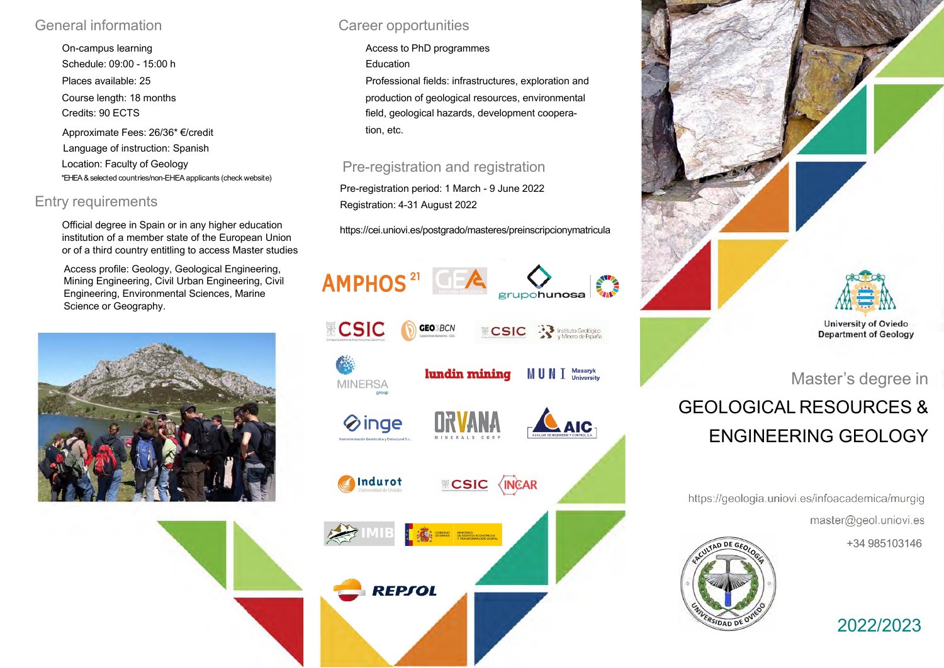### General information

On-campus learning Schedule: 09:00 - 15:00 h Places available: 25 Course length: 18 months Credits: 90 ECTS Approximate Fees: 26/36\* €/credit Language of instruction: Spanish Location: Faculty of Geology \*EHEA&selected countries/non-EHEAapplicants (check website)

## Entry requirements

Official degree in Spain or in any higher education institution of a member state of the European Union or of a third country entitling to access Master studies

Access profile: Geology, Geological Engineering, Mining Engineering, Civil Urban Engineering, Civil Engineering, Environmental Sciences, Marine Science or Geography.



## Career opportunities

Access to PhD programmes

Education

Professional fields: infrastructures, exploration and production of geological resources, environmental field, geological hazards, development cooperation, etc.

### Pre-registration and registration

Pre-registration period: 1 March - 9 June 2022 Registration: 4-31 August 2022

https://cei.uniovi.es/postgrado/masteres/preinscripcionymatricula





# GEOLOGICAL RESOURCES & ENGINEERING GEOLOGY

https://geologia.uniovi.es/infoacademica/murgig master@geol.uniovi.es

+34 985103146



2022/2023